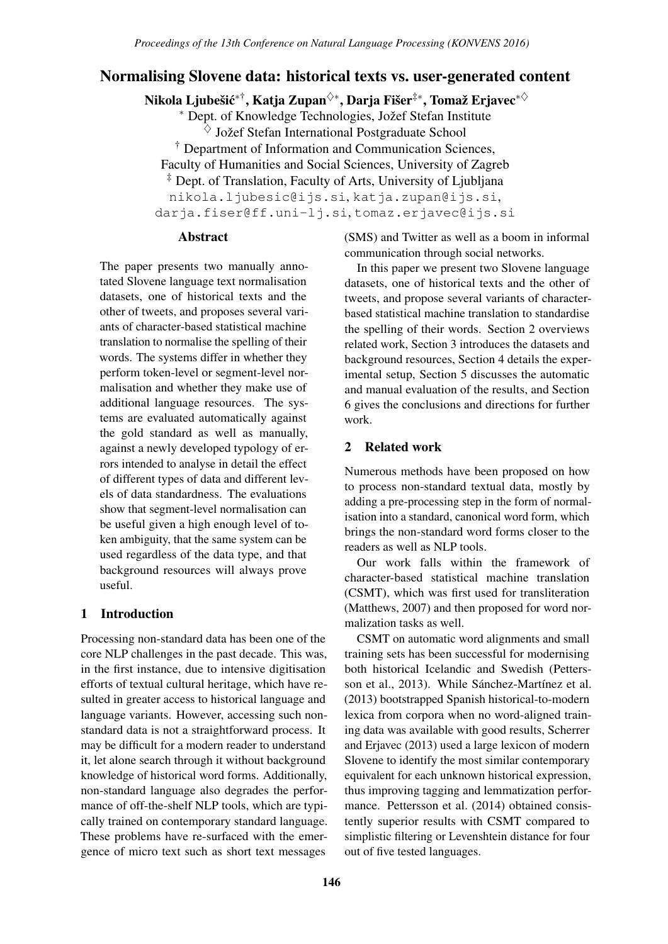# Normalising Slovene data: historical texts vs. user-generated content

Nikola Ljubešić\*†, Katja Zupan $^{\diamondsuit*}$ , Darja Fišer $^{\ddagger*}$ , Tomaž Erjavec\* $^{\diamondsuit}$ 

∗ Dept. of Knowledge Technologies, Jozef Stefan Institute ˇ  $\Diamond$  Jožef Stefan International Postgraduate School † Department of Information and Communication Sciences, Faculty of Humanities and Social Sciences, University of Zagreb ‡ Dept. of Translation, Faculty of Arts, University of Ljubljana nikola.ljubesic@ijs.si, katja.zupan@ijs.si, darja.fiser@ff.uni-lj.si, tomaz.erjavec@ijs.si

### Abstract

The paper presents two manually annotated Slovene language text normalisation datasets, one of historical texts and the other of tweets, and proposes several variants of character-based statistical machine translation to normalise the spelling of their words. The systems differ in whether they perform token-level or segment-level normalisation and whether they make use of additional language resources. The systems are evaluated automatically against the gold standard as well as manually, against a newly developed typology of errors intended to analyse in detail the effect of different types of data and different levels of data standardness. The evaluations show that segment-level normalisation can be useful given a high enough level of token ambiguity, that the same system can be used regardless of the data type, and that background resources will always prove useful.

## 1 Introduction

Processing non-standard data has been one of the core NLP challenges in the past decade. This was, in the first instance, due to intensive digitisation efforts of textual cultural heritage, which have resulted in greater access to historical language and language variants. However, accessing such nonstandard data is not a straightforward process. It may be difficult for a modern reader to understand it, let alone search through it without background knowledge of historical word forms. Additionally, non-standard language also degrades the performance of off-the-shelf NLP tools, which are typically trained on contemporary standard language. These problems have re-surfaced with the emergence of micro text such as short text messages

(SMS) and Twitter as well as a boom in informal communication through social networks.

In this paper we present two Slovene language datasets, one of historical texts and the other of tweets, and propose several variants of characterbased statistical machine translation to standardise the spelling of their words. Section 2 overviews related work, Section 3 introduces the datasets and background resources, Section 4 details the experimental setup, Section 5 discusses the automatic and manual evaluation of the results, and Section 6 gives the conclusions and directions for further work.

### 2 Related work

Numerous methods have been proposed on how to process non-standard textual data, mostly by adding a pre-processing step in the form of normalisation into a standard, canonical word form, which brings the non-standard word forms closer to the readers as well as NLP tools.

Our work falls within the framework of character-based statistical machine translation (CSMT), which was first used for transliteration (Matthews, 2007) and then proposed for word normalization tasks as well.

CSMT on automatic word alignments and small training sets has been successful for modernising both historical Icelandic and Swedish (Pettersson et al., 2013). While Sánchez-Martínez et al. (2013) bootstrapped Spanish historical-to-modern lexica from corpora when no word-aligned training data was available with good results, Scherrer and Erjavec (2013) used a large lexicon of modern Slovene to identify the most similar contemporary equivalent for each unknown historical expression, thus improving tagging and lemmatization performance. Pettersson et al. (2014) obtained consistently superior results with CSMT compared to simplistic filtering or Levenshtein distance for four out of five tested languages.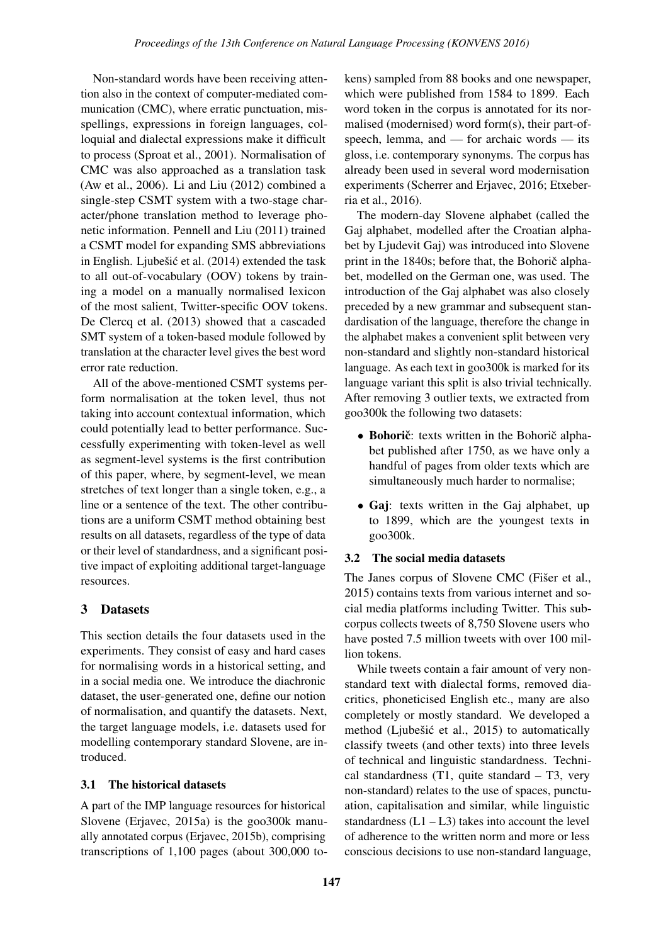Non-standard words have been receiving attention also in the context of computer-mediated communication (CMC), where erratic punctuation, misspellings, expressions in foreign languages, colloquial and dialectal expressions make it difficult to process (Sproat et al., 2001). Normalisation of CMC was also approached as a translation task (Aw et al., 2006). Li and Liu (2012) combined a single-step CSMT system with a two-stage character/phone translation method to leverage phonetic information. Pennell and Liu (2011) trained a CSMT model for expanding SMS abbreviations in English. Ljubešić et al. (2014) extended the task to all out-of-vocabulary (OOV) tokens by training a model on a manually normalised lexicon of the most salient, Twitter-specific OOV tokens. De Clercq et al. (2013) showed that a cascaded SMT system of a token-based module followed by translation at the character level gives the best word error rate reduction.

All of the above-mentioned CSMT systems perform normalisation at the token level, thus not taking into account contextual information, which could potentially lead to better performance. Successfully experimenting with token-level as well as segment-level systems is the first contribution of this paper, where, by segment-level, we mean stretches of text longer than a single token, e.g., a line or a sentence of the text. The other contributions are a uniform CSMT method obtaining best results on all datasets, regardless of the type of data or their level of standardness, and a significant positive impact of exploiting additional target-language resources.

## 3 Datasets

This section details the four datasets used in the experiments. They consist of easy and hard cases for normalising words in a historical setting, and in a social media one. We introduce the diachronic dataset, the user-generated one, define our notion of normalisation, and quantify the datasets. Next, the target language models, i.e. datasets used for modelling contemporary standard Slovene, are introduced.

### 3.1 The historical datasets

A part of the IMP language resources for historical Slovene (Erjavec, 2015a) is the goo300k manually annotated corpus (Erjavec, 2015b), comprising transcriptions of 1,100 pages (about 300,000 tokens) sampled from 88 books and one newspaper, which were published from 1584 to 1899. Each word token in the corpus is annotated for its normalised (modernised) word form(s), their part-ofspeech, lemma, and — for archaic words — its gloss, i.e. contemporary synonyms. The corpus has already been used in several word modernisation experiments (Scherrer and Erjavec, 2016; Etxeberria et al., 2016).

The modern-day Slovene alphabet (called the Gaj alphabet, modelled after the Croatian alphabet by Ljudevit Gaj) was introduced into Slovene print in the 1840s; before that, the Bohoric alphabet, modelled on the German one, was used. The introduction of the Gaj alphabet was also closely preceded by a new grammar and subsequent standardisation of the language, therefore the change in the alphabet makes a convenient split between very non-standard and slightly non-standard historical language. As each text in goo300k is marked for its language variant this split is also trivial technically. After removing 3 outlier texts, we extracted from goo300k the following two datasets:

- Bohorič: texts written in the Bohorič alphabet published after 1750, as we have only a handful of pages from older texts which are simultaneously much harder to normalise;
- Gaj: texts written in the Gaj alphabet, up to 1899, which are the youngest texts in goo300k.

## 3.2 The social media datasets

The Janes corpus of Slovene CMC (Fišer et al., 2015) contains texts from various internet and social media platforms including Twitter. This subcorpus collects tweets of 8,750 Slovene users who have posted 7.5 million tweets with over 100 million tokens.

While tweets contain a fair amount of very nonstandard text with dialectal forms, removed diacritics, phoneticised English etc., many are also completely or mostly standard. We developed a method (Ljubešić et al., 2015) to automatically classify tweets (and other texts) into three levels of technical and linguistic standardness. Technical standardness (T1, quite standard – T3, very non-standard) relates to the use of spaces, punctuation, capitalisation and similar, while linguistic standardness  $(L1 - L3)$  takes into account the level of adherence to the written norm and more or less conscious decisions to use non-standard language,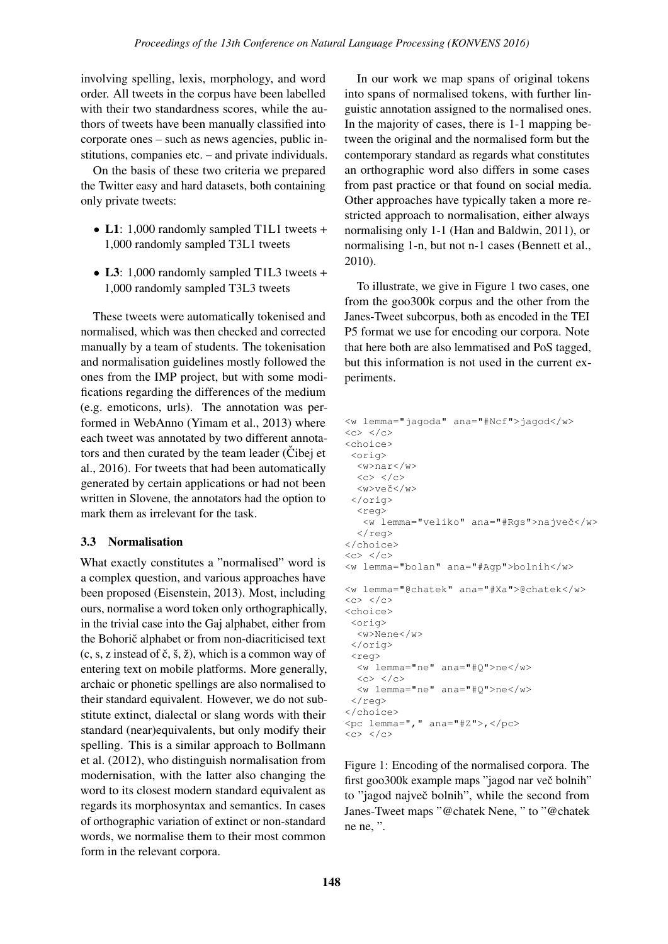involving spelling, lexis, morphology, and word order. All tweets in the corpus have been labelled with their two standardness scores, while the authors of tweets have been manually classified into corporate ones – such as news agencies, public institutions, companies etc. – and private individuals.

On the basis of these two criteria we prepared the Twitter easy and hard datasets, both containing only private tweets:

- L1: 1,000 randomly sampled T1L1 tweets + 1,000 randomly sampled T3L1 tweets
- L3: 1,000 randomly sampled T1L3 tweets + 1,000 randomly sampled T3L3 tweets

These tweets were automatically tokenised and normalised, which was then checked and corrected manually by a team of students. The tokenisation and normalisation guidelines mostly followed the ones from the IMP project, but with some modifications regarding the differences of the medium (e.g. emoticons, urls). The annotation was performed in WebAnno (Yimam et al., 2013) where each tweet was annotated by two different annotators and then curated by the team leader (Cibej et al., 2016). For tweets that had been automatically generated by certain applications or had not been written in Slovene, the annotators had the option to mark them as irrelevant for the task.

#### 3.3 Normalisation

What exactly constitutes a "normalised" word is a complex question, and various approaches have been proposed (Eisenstein, 2013). Most, including ours, normalise a word token only orthographically, in the trivial case into the Gaj alphabet, either from the Bohorič alphabet or from non-diacriticised text  $(c, s, z)$  instead of  $\check{c}, \check{s}, \check{z}$ , which is a common way of entering text on mobile platforms. More generally, archaic or phonetic spellings are also normalised to their standard equivalent. However, we do not substitute extinct, dialectal or slang words with their standard (near)equivalents, but only modify their spelling. This is a similar approach to Bollmann et al. (2012), who distinguish normalisation from modernisation, with the latter also changing the word to its closest modern standard equivalent as regards its morphosyntax and semantics. In cases of orthographic variation of extinct or non-standard words, we normalise them to their most common form in the relevant corpora.

In our work we map spans of original tokens into spans of normalised tokens, with further linguistic annotation assigned to the normalised ones. In the majority of cases, there is 1-1 mapping between the original and the normalised form but the contemporary standard as regards what constitutes an orthographic word also differs in some cases from past practice or that found on social media. Other approaches have typically taken a more restricted approach to normalisation, either always normalising only 1-1 (Han and Baldwin, 2011), or normalising 1-n, but not n-1 cases (Bennett et al., 2010).

To illustrate, we give in Figure 1 two cases, one from the goo300k corpus and the other from the Janes-Tweet subcorpus, both as encoded in the TEI P5 format we use for encoding our corpora. Note that here both are also lemmatised and PoS tagged, but this information is not used in the current experiments.

```
<w lemma="jagoda" ana="#Ncf">jagod</w>
\langle c \rangle \langle c \rangle<choice>
 <orig>
  <w>nar</w>
  <<c><c><c><w>veˇc</w>
 </orig>
  <reg>
    <w lemma="veliko" ana="#Rgs">najveˇc</w>
  \langle reg>
</choice>
<<c><c><c><w lemma="bolan" ana="#Agp">bolnih</w>
<w lemma="@chatek" ana="#Xa">@chatek</w>
\langle c \rangle \langle c \rangle<choice>
 \langle \text{or} \rangle<w>Nene</w>
 </orig>
 <reg>
  <w lemma="ne" ana="#Q">ne</w>
  <<c><c><c><w lemma="ne" ana="#Q">ne</w>
 \langlereg>
</choice>
<pc lemma="," ana="#Z">,</pc>
\langle c \rangle \langle c \rangle
```
Figure 1: Encoding of the normalised corpora. The first goo300k example maps "jagod nar več bolnih" to "jagod največ bolnih", while the second from Janes-Tweet maps "@chatek Nene, " to "@chatek ne ne, ".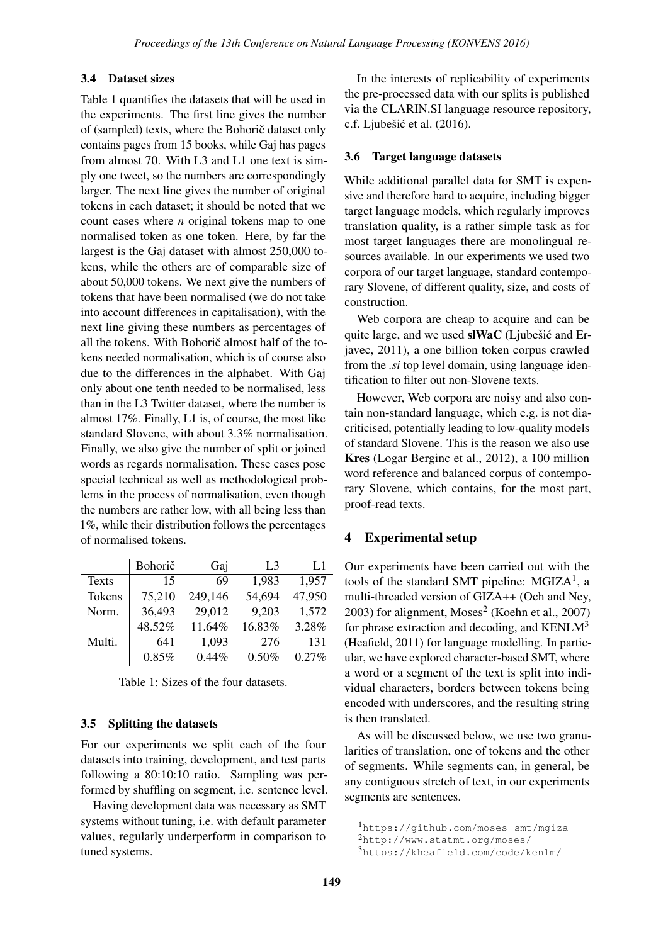### 3.4 Dataset sizes

Table 1 quantifies the datasets that will be used in the experiments. The first line gives the number of (sampled) texts, where the Bohoric dataset only contains pages from 15 books, while Gaj has pages from almost 70. With L3 and L1 one text is simply one tweet, so the numbers are correspondingly larger. The next line gives the number of original tokens in each dataset; it should be noted that we count cases where *n* original tokens map to one normalised token as one token. Here, by far the largest is the Gaj dataset with almost 250,000 tokens, while the others are of comparable size of about 50,000 tokens. We next give the numbers of tokens that have been normalised (we do not take into account differences in capitalisation), with the next line giving these numbers as percentages of all the tokens. With Bohorič almost half of the tokens needed normalisation, which is of course also due to the differences in the alphabet. With Gaj only about one tenth needed to be normalised, less than in the L3 Twitter dataset, where the number is almost 17%. Finally, L1 is, of course, the most like standard Slovene, with about 3.3% normalisation. Finally, we also give the number of split or joined words as regards normalisation. These cases pose special technical as well as methodological problems in the process of normalisation, even though the numbers are rather low, with all being less than 1%, while their distribution follows the percentages of normalised tokens.

|              | Bohorič | Gaj     | L <sub>3</sub> | L1       |
|--------------|---------|---------|----------------|----------|
| <b>Texts</b> | 15      | 69      | 1,983          | 1,957    |
| Tokens       | 75,210  | 249,146 | 54,694         | 47,950   |
| Norm.        | 36,493  | 29,012  | 9,203          | 1,572    |
|              | 48.52%  | 11.64%  | 16.83%         | 3.28%    |
| Multi.       | 641     | 1,093   | 276            | 131      |
|              | 0.85%   | 0.44%   | $0.50\%$       | $0.27\%$ |

Table 1: Sizes of the four datasets.

#### 3.5 Splitting the datasets

For our experiments we split each of the four datasets into training, development, and test parts following a 80:10:10 ratio. Sampling was performed by shuffling on segment, i.e. sentence level.

Having development data was necessary as SMT systems without tuning, i.e. with default parameter values, regularly underperform in comparison to tuned systems.

In the interests of replicability of experiments the pre-processed data with our splits is published via the CLARIN.SI language resource repository, c.f. Ljubešić et al.  $(2016)$ .

#### 3.6 Target language datasets

While additional parallel data for SMT is expensive and therefore hard to acquire, including bigger target language models, which regularly improves translation quality, is a rather simple task as for most target languages there are monolingual resources available. In our experiments we used two corpora of our target language, standard contemporary Slovene, of different quality, size, and costs of construction.

Web corpora are cheap to acquire and can be quite large, and we used  $\mathbf{s}$  IWaC (Ljubest c and Erjavec, 2011), a one billion token corpus crawled from the *.si* top level domain, using language identification to filter out non-Slovene texts.

However, Web corpora are noisy and also contain non-standard language, which e.g. is not diacriticised, potentially leading to low-quality models of standard Slovene. This is the reason we also use Kres (Logar Berginc et al., 2012), a 100 million word reference and balanced corpus of contemporary Slovene, which contains, for the most part, proof-read texts.

#### 4 Experimental setup

Our experiments have been carried out with the tools of the standard SMT pipeline:  $MGIZA<sup>1</sup>$ , a multi-threaded version of GIZA++ (Och and Ney,  $2003$ ) for alignment, Moses<sup>2</sup> (Koehn et al.,  $2007$ ) for phrase extraction and decoding, and  $KENLM<sup>3</sup>$ (Heafield, 2011) for language modelling. In particular, we have explored character-based SMT, where a word or a segment of the text is split into individual characters, borders between tokens being encoded with underscores, and the resulting string is then translated.

As will be discussed below, we use two granularities of translation, one of tokens and the other of segments. While segments can, in general, be any contiguous stretch of text, in our experiments segments are sentences.

<sup>1</sup>https://github.com/moses-smt/mgiza

<sup>2</sup>http://www.statmt.org/moses/

<sup>3</sup>https://kheafield.com/code/kenlm/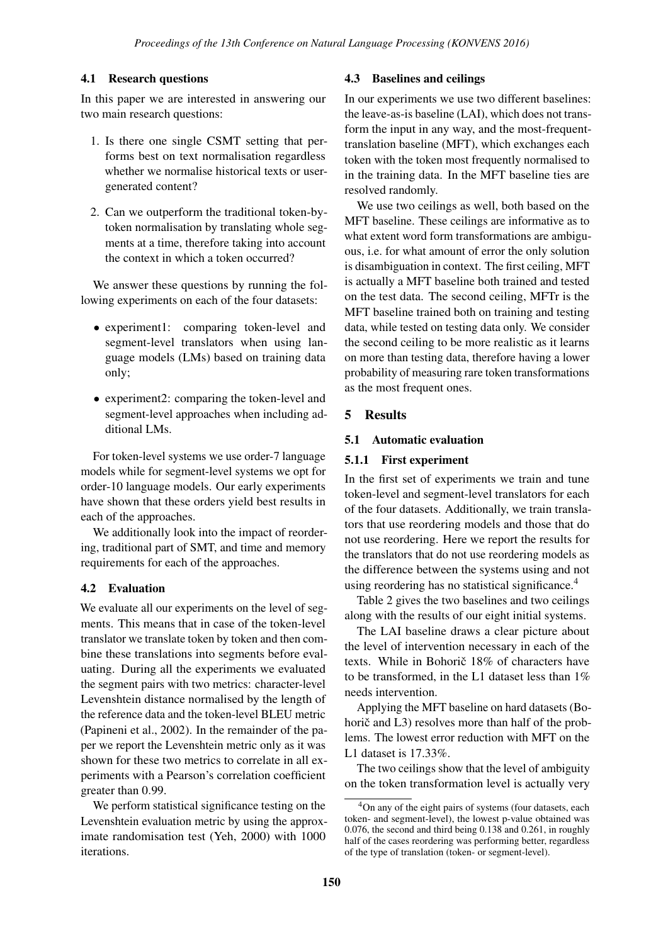## 4.1 Research questions

In this paper we are interested in answering our two main research questions:

- 1. Is there one single CSMT setting that performs best on text normalisation regardless whether we normalise historical texts or usergenerated content?
- 2. Can we outperform the traditional token-bytoken normalisation by translating whole segments at a time, therefore taking into account the context in which a token occurred?

We answer these questions by running the following experiments on each of the four datasets:

- experiment1: comparing token-level and segment-level translators when using language models (LMs) based on training data only;
- experiment2: comparing the token-level and segment-level approaches when including additional LMs.

For token-level systems we use order-7 language models while for segment-level systems we opt for order-10 language models. Our early experiments have shown that these orders yield best results in each of the approaches.

We additionally look into the impact of reordering, traditional part of SMT, and time and memory requirements for each of the approaches.

## 4.2 Evaluation

We evaluate all our experiments on the level of segments. This means that in case of the token-level translator we translate token by token and then combine these translations into segments before evaluating. During all the experiments we evaluated the segment pairs with two metrics: character-level Levenshtein distance normalised by the length of the reference data and the token-level BLEU metric (Papineni et al., 2002). In the remainder of the paper we report the Levenshtein metric only as it was shown for these two metrics to correlate in all experiments with a Pearson's correlation coefficient greater than 0.99.

We perform statistical significance testing on the Levenshtein evaluation metric by using the approximate randomisation test (Yeh, 2000) with 1000 iterations.

### 4.3 Baselines and ceilings

In our experiments we use two different baselines: the leave-as-is baseline (LAI), which does not transform the input in any way, and the most-frequenttranslation baseline (MFT), which exchanges each token with the token most frequently normalised to in the training data. In the MFT baseline ties are resolved randomly.

We use two ceilings as well, both based on the MFT baseline. These ceilings are informative as to what extent word form transformations are ambiguous, i.e. for what amount of error the only solution is disambiguation in context. The first ceiling, MFT is actually a MFT baseline both trained and tested on the test data. The second ceiling, MFTr is the MFT baseline trained both on training and testing data, while tested on testing data only. We consider the second ceiling to be more realistic as it learns on more than testing data, therefore having a lower probability of measuring rare token transformations as the most frequent ones.

## 5 Results

### 5.1 Automatic evaluation

### 5.1.1 First experiment

In the first set of experiments we train and tune token-level and segment-level translators for each of the four datasets. Additionally, we train translators that use reordering models and those that do not use reordering. Here we report the results for the translators that do not use reordering models as the difference between the systems using and not using reordering has no statistical significance.<sup>4</sup>

Table 2 gives the two baselines and two ceilings along with the results of our eight initial systems.

The LAI baseline draws a clear picture about the level of intervention necessary in each of the texts. While in Bohoric  $18\%$  of characters have to be transformed, in the L1 dataset less than  $1\%$ needs intervention.

Applying the MFT baseline on hard datasets (Bohoric and  $L3$ ) resolves more than half of the problems. The lowest error reduction with MFT on the L1 dataset is 17.33%.

The two ceilings show that the level of ambiguity on the token transformation level is actually very

<sup>&</sup>lt;sup>4</sup>On any of the eight pairs of systems (four datasets, each token- and segment-level), the lowest p-value obtained was 0.076, the second and third being 0.138 and 0.261, in roughly half of the cases reordering was performing better, regardless of the type of translation (token- or segment-level).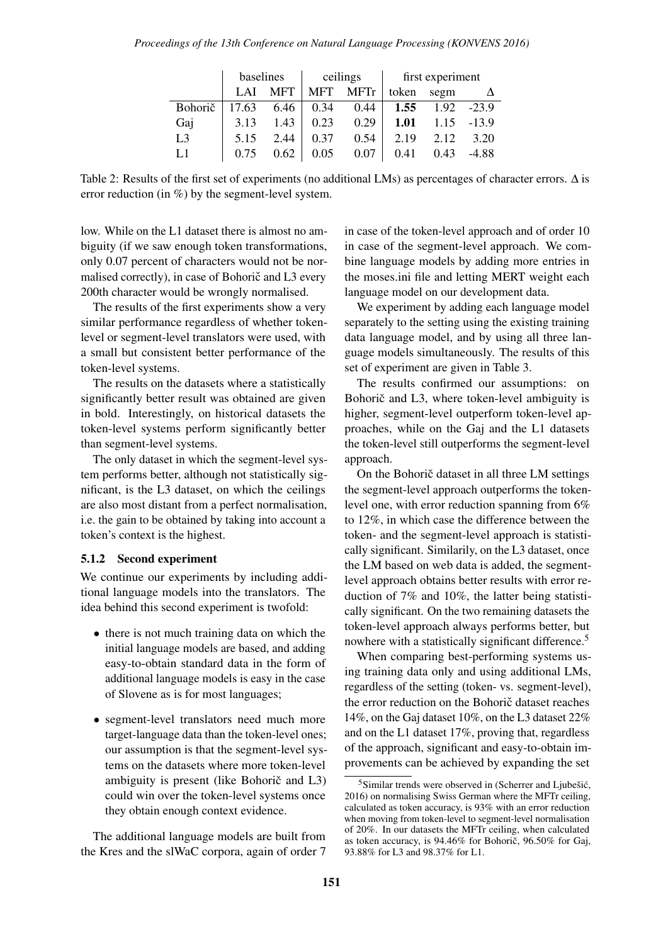|                | baselines |            |            | ceilings | first experiment |      |         |  |
|----------------|-----------|------------|------------|----------|------------------|------|---------|--|
|                | LAI       | <b>MFT</b> | <b>MFT</b> | MFTr     | token            | segm |         |  |
| Bohorič        | 17.63     | 6.46       | 0.34       | 0.44     | 1.55             | 1.92 | $-23.9$ |  |
| Gaj            | 3.13      | 1.43       | 0.23       | 0.29     | <b>1.01</b>      | 1.15 | $-13.9$ |  |
| L <sub>3</sub> | 5.15      | 2.44       | 0.37       | 0.54     | 2.19             | 2.12 | 3.20    |  |
| $L_{1}$        | 0.75      | 0.62       | 0.05       | 0.07     | 0.41             | 0.43 | $-4.88$ |  |

Table 2: Results of the first set of experiments (no additional LMs) as percentages of character errors. ∆ is error reduction (in %) by the segment-level system.

low. While on the L1 dataset there is almost no ambiguity (if we saw enough token transformations, only 0.07 percent of characters would not be normalised correctly), in case of Bohorič and L3 every 200th character would be wrongly normalised.

The results of the first experiments show a very similar performance regardless of whether tokenlevel or segment-level translators were used, with a small but consistent better performance of the token-level systems.

The results on the datasets where a statistically significantly better result was obtained are given in bold. Interestingly, on historical datasets the token-level systems perform significantly better than segment-level systems.

The only dataset in which the segment-level system performs better, although not statistically significant, is the L3 dataset, on which the ceilings are also most distant from a perfect normalisation, i.e. the gain to be obtained by taking into account a token's context is the highest.

#### 5.1.2 Second experiment

We continue our experiments by including additional language models into the translators. The idea behind this second experiment is twofold:

- there is not much training data on which the initial language models are based, and adding easy-to-obtain standard data in the form of additional language models is easy in the case of Slovene as is for most languages;
- segment-level translators need much more target-language data than the token-level ones; our assumption is that the segment-level systems on the datasets where more token-level ambiguity is present (like Bohoric and  $L3$ ) could win over the token-level systems once they obtain enough context evidence.

The additional language models are built from the Kres and the slWaC corpora, again of order 7 in case of the token-level approach and of order 10 in case of the segment-level approach. We combine language models by adding more entries in the moses.ini file and letting MERT weight each language model on our development data.

We experiment by adding each language model separately to the setting using the existing training data language model, and by using all three language models simultaneously. The results of this set of experiment are given in Table 3.

The results confirmed our assumptions: on Bohorič and L3, where token-level ambiguity is higher, segment-level outperform token-level approaches, while on the Gaj and the L1 datasets the token-level still outperforms the segment-level approach.

On the Bohoric dataset in all three LM settings the segment-level approach outperforms the tokenlevel one, with error reduction spanning from 6% to 12%, in which case the difference between the token- and the segment-level approach is statistically significant. Similarily, on the L3 dataset, once the LM based on web data is added, the segmentlevel approach obtains better results with error reduction of 7% and 10%, the latter being statistically significant. On the two remaining datasets the token-level approach always performs better, but nowhere with a statistically significant difference.<sup>5</sup>

When comparing best-performing systems using training data only and using additional LMs, regardless of the setting (token- vs. segment-level), the error reduction on the Bohoric dataset reaches 14%, on the Gaj dataset 10%, on the L3 dataset 22% and on the L1 dataset 17%, proving that, regardless of the approach, significant and easy-to-obtain improvements can be achieved by expanding the set

 $5$ Similar trends were observed in (Scherrer and Ljubešić, 2016) on normalising Swiss German where the MFTr ceiling, calculated as token accuracy, is 93% with an error reduction when moving from token-level to segment-level normalisation of 20%. In our datasets the MFTr ceiling, when calculated as token accuracy, is  $94.46\%$  for Bohoric,  $96.50\%$  for Gaj, 93.88% for L3 and 98.37% for L1.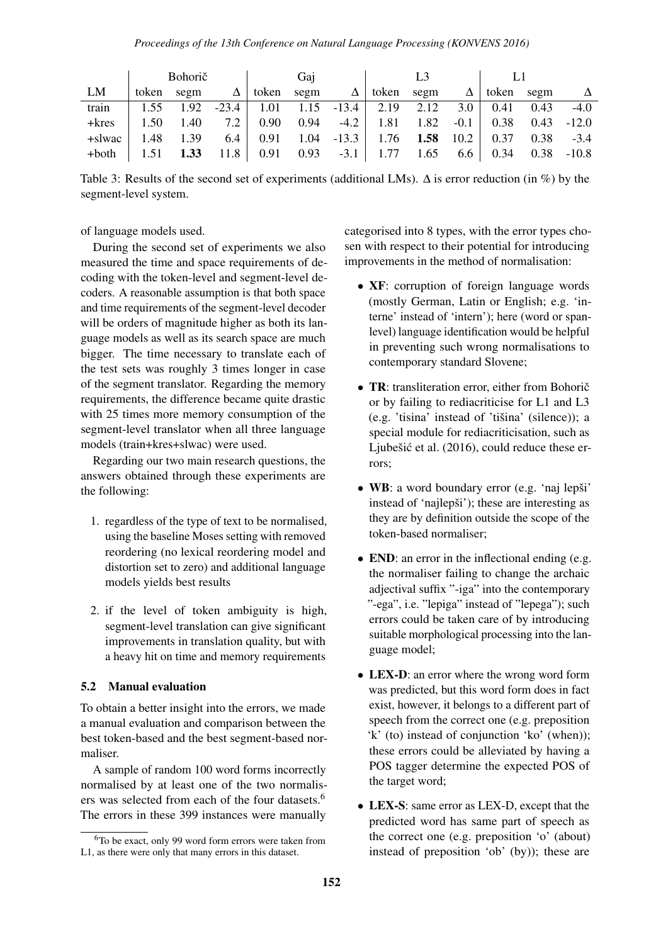|         | <b>Bohorič</b> |      |         | Gai          |      | L <sub>3</sub> |       |      |        |       |      |         |
|---------|----------------|------|---------|--------------|------|----------------|-------|------|--------|-------|------|---------|
| LM      | token          | segm | Δ       | token        | segm | Δ              | token | segm | Δ      | token | segm |         |
| train   | 1.55           | 1.92 | $-23.4$ | $\vert$ 1.01 |      | $1.15 -13.4$   | 2.19  | 2.12 | 3.0    | 0.41  | 0.43 | $-4.0$  |
| $+kres$ | 1.50           | 1.40 | 7.2     | 0.90         | 0.94 | $-4.2$         | 1.81  | 1.82 | $-0.1$ | 0.38  | 0.43 | $-12.0$ |
| +slwac  | 1.48           | 1.39 | 6.4     | 0.91         | 1.04 | $-13.3$        | 1.76  | 1.58 | 10.2   | 0.37  | 0.38 | $-3.4$  |
| +both   |                | 1.33 | 11.8    | 0.91         | 0.93 | $-3.1$         | 1.77  | 1.65 | 6.6    | 0.34  | 0.38 | $-10.8$ |

Table 3: Results of the second set of experiments (additional LMs). ∆ is error reduction (in %) by the segment-level system.

#### of language models used.

During the second set of experiments we also measured the time and space requirements of decoding with the token-level and segment-level decoders. A reasonable assumption is that both space and time requirements of the segment-level decoder will be orders of magnitude higher as both its language models as well as its search space are much bigger. The time necessary to translate each of the test sets was roughly 3 times longer in case of the segment translator. Regarding the memory requirements, the difference became quite drastic with 25 times more memory consumption of the segment-level translator when all three language models (train+kres+slwac) were used.

Regarding our two main research questions, the answers obtained through these experiments are the following:

- 1. regardless of the type of text to be normalised, using the baseline Moses setting with removed reordering (no lexical reordering model and distortion set to zero) and additional language models yields best results
- 2. if the level of token ambiguity is high, segment-level translation can give significant improvements in translation quality, but with a heavy hit on time and memory requirements

### 5.2 Manual evaluation

To obtain a better insight into the errors, we made a manual evaluation and comparison between the best token-based and the best segment-based normaliser.

A sample of random 100 word forms incorrectly normalised by at least one of the two normalisers was selected from each of the four datasets.<sup>6</sup> The errors in these 399 instances were manually

categorised into 8 types, with the error types chosen with respect to their potential for introducing improvements in the method of normalisation:

- **XF**: corruption of foreign language words (mostly German, Latin or English; e.g. 'interne' instead of 'intern'); here (word or spanlevel) language identification would be helpful in preventing such wrong normalisations to contemporary standard Slovene;
- TR: transliteration error, either from Bohorič or by failing to rediacriticise for L1 and L3  $(e.g. 'tisina' instead of 'tišina' (silence))$ ; a special module for rediacriticisation, such as Ljubešić et al.  $(2016)$ , could reduce these errors;
- WB: a word boundary error (e.g. 'naj lepši' instead of 'nailepši'); these are interesting as they are by definition outside the scope of the token-based normaliser;
- END: an error in the inflectional ending (e.g. the normaliser failing to change the archaic adjectival suffix "-iga" into the contemporary "-ega", i.e. "lepiga" instead of "lepega"); such errors could be taken care of by introducing suitable morphological processing into the language model;
- LEX-D: an error where the wrong word form was predicted, but this word form does in fact exist, however, it belongs to a different part of speech from the correct one (e.g. preposition 'k' (to) instead of conjunction 'ko' (when)); these errors could be alleviated by having a POS tagger determine the expected POS of the target word;
- LEX-S: same error as LEX-D, except that the predicted word has same part of speech as the correct one (e.g. preposition 'o' (about) instead of preposition 'ob' (by)); these are

 $6T<sub>0</sub>$  be exact, only 99 word form errors were taken from L1, as there were only that many errors in this dataset.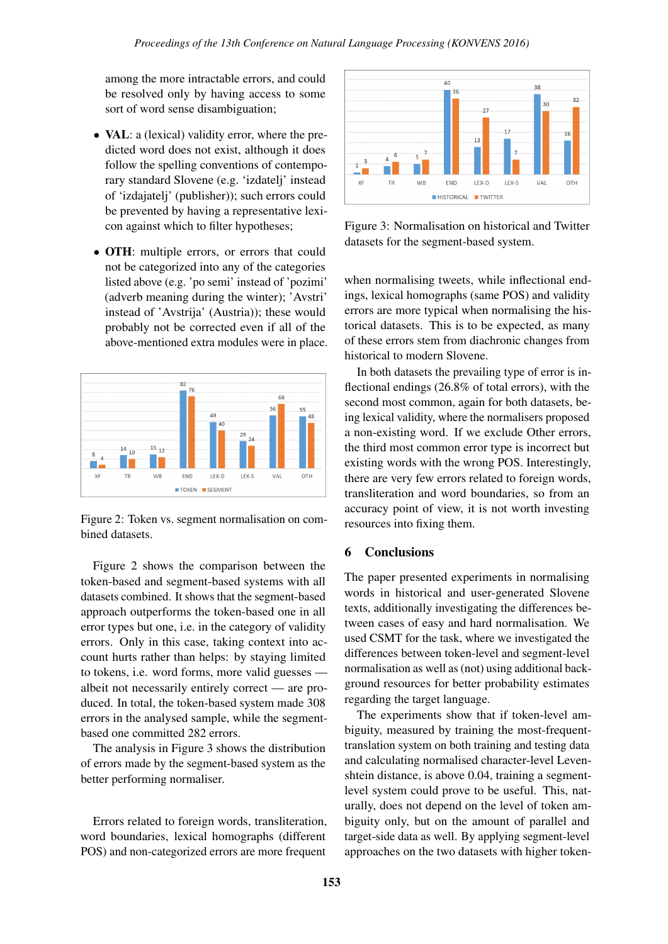among the more intractable errors, and could be resolved only by having access to some sort of word sense disambiguation;

- **VAL**: a (lexical) validity error, where the predicted word does not exist, although it does follow the spelling conventions of contemporary standard Slovene (e.g. 'izdatelj' instead of 'izdajatelj' (publisher)); such errors could be prevented by having a representative lexicon against which to filter hypotheses;
- OTH: multiple errors, or errors that could not be categorized into any of the categories listed above (e.g. 'po semi' instead of 'pozimi' (adverb meaning during the winter); 'Avstri' instead of 'Avstrija' (Austria)); these would probably not be corrected even if all of the above-mentioned extra modules were in place.



Figure 2: Token vs. segment normalisation on combined datasets.

Figure 2 shows the comparison between the token-based and segment-based systems with all datasets combined. It shows that the segment-based approach outperforms the token-based one in all error types but one, i.e. in the category of validity errors. Only in this case, taking context into account hurts rather than helps: by staying limited to tokens, i.e. word forms, more valid guesses –– albeit not necessarily entirely correct –– are produced. In total, the token-based system made 308 errors in the analysed sample, while the segmentbased one committed 282 errors.

The analysis in Figure 3 shows the distribution of errors made by the segment-based system as the better performing normaliser.

Errors related to foreign words, transliteration, word boundaries, lexical homographs (different POS) and non-categorized errors are more frequent



Figure 3: Normalisation on historical and Twitter datasets for the segment-based system.

when normalising tweets, while inflectional endings, lexical homographs (same POS) and validity errors are more typical when normalising the historical datasets. This is to be expected, as many of these errors stem from diachronic changes from historical to modern Slovene.

In both datasets the prevailing type of error is inflectional endings (26.8% of total errors), with the second most common, again for both datasets, being lexical validity, where the normalisers proposed a non-existing word. If we exclude Other errors, the third most common error type is incorrect but existing words with the wrong POS. Interestingly, there are very few errors related to foreign words, transliteration and word boundaries, so from an accuracy point of view, it is not worth investing resources into fixing them.

### 6 Conclusions

The paper presented experiments in normalising words in historical and user-generated Slovene texts, additionally investigating the differences between cases of easy and hard normalisation. We used CSMT for the task, where we investigated the differences between token-level and segment-level normalisation as well as (not) using additional background resources for better probability estimates regarding the target language.

The experiments show that if token-level ambiguity, measured by training the most-frequenttranslation system on both training and testing data and calculating normalised character-level Levenshtein distance, is above 0.04, training a segmentlevel system could prove to be useful. This, naturally, does not depend on the level of token ambiguity only, but on the amount of parallel and target-side data as well. By applying segment-level approaches on the two datasets with higher token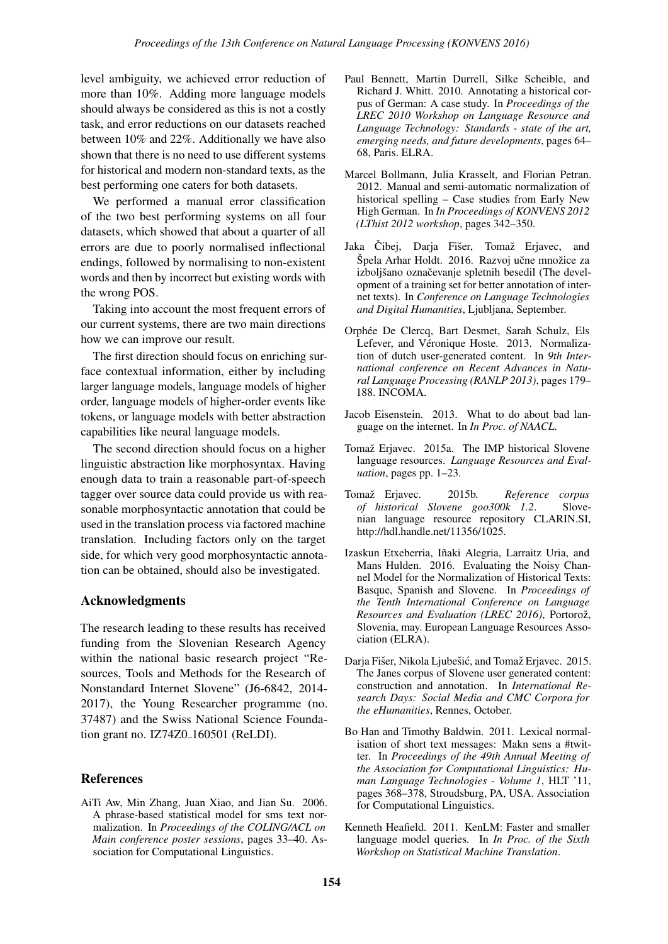level ambiguity, we achieved error reduction of more than 10%. Adding more language models should always be considered as this is not a costly task, and error reductions on our datasets reached between 10% and 22%. Additionally we have also shown that there is no need to use different systems for historical and modern non-standard texts, as the best performing one caters for both datasets.

We performed a manual error classification of the two best performing systems on all four datasets, which showed that about a quarter of all errors are due to poorly normalised inflectional endings, followed by normalising to non-existent words and then by incorrect but existing words with the wrong POS.

Taking into account the most frequent errors of our current systems, there are two main directions how we can improve our result.

The first direction should focus on enriching surface contextual information, either by including larger language models, language models of higher order, language models of higher-order events like tokens, or language models with better abstraction capabilities like neural language models.

The second direction should focus on a higher linguistic abstraction like morphosyntax. Having enough data to train a reasonable part-of-speech tagger over source data could provide us with reasonable morphosyntactic annotation that could be used in the translation process via factored machine translation. Including factors only on the target side, for which very good morphosyntactic annotation can be obtained, should also be investigated.

### Acknowledgments

The research leading to these results has received funding from the Slovenian Research Agency within the national basic research project "Resources, Tools and Methods for the Research of Nonstandard Internet Slovene" (J6-6842, 2014- 2017), the Young Researcher programme (no. 37487) and the Swiss National Science Foundation grant no. IZ74Z0<sub>-160501</sub> (ReLDI).

### References

AiTi Aw, Min Zhang, Juan Xiao, and Jian Su. 2006. A phrase-based statistical model for sms text normalization. In *Proceedings of the COLING/ACL on Main conference poster sessions*, pages 33–40. Association for Computational Linguistics.

- Paul Bennett, Martin Durrell, Silke Scheible, and Richard J. Whitt. 2010. Annotating a historical corpus of German: A case study. In *Proceedings of the LREC 2010 Workshop on Language Resource and Language Technology: Standards - state of the art, emerging needs, and future developments*, pages 64– 68, Paris. ELRA.
- Marcel Bollmann, Julia Krasselt, and Florian Petran. 2012. Manual and semi-automatic normalization of historical spelling – Case studies from Early New High German. In *In Proceedings of KONVENS 2012 (LThist 2012 workshop*, pages 342–350.
- Jaka Cibej, Darja Fišer, Tomaž Erjavec, and Špela Arhar Holdt. 2016. Razvoj učne množice za izboljšano označevanje spletnih besedil (The development of a training set for better annotation of internet texts). In *Conference on Language Technologies and Digital Humanities*, Ljubljana, September.
- Orphée De Clercq, Bart Desmet, Sarah Schulz, Els Lefever, and Véronique Hoste. 2013. Normalization of dutch user-generated content. In *9th International conference on Recent Advances in Natural Language Processing (RANLP 2013)*, pages 179– 188. INCOMA.
- Jacob Eisenstein. 2013. What to do about bad language on the internet. In *In Proc. of NAACL*.
- Tomaž Erjavec. 2015a. The IMP historical Slovene language resources. *Language Resources and Evaluation*, pages pp. 1–23.
- Tomaž Erjavec. 2015b. Reference corpus *of historical Slovene goo300k 1.2*. Slovenian language resource repository CLARIN.SI, http://hdl.handle.net/11356/1025.
- Izaskun Etxeberria, Iñaki Alegria, Larraitz Uria, and Mans Hulden. 2016. Evaluating the Noisy Channel Model for the Normalization of Historical Texts: Basque, Spanish and Slovene. In *Proceedings of the Tenth International Conference on Language Resources and Evaluation (LREC 2016)*, Portorož, Slovenia, may. European Language Resources Association (ELRA).
- Darja Fišer, Nikola Ljubešić, and Tomaž Erjavec. 2015. The Janes corpus of Slovene user generated content: construction and annotation. In *International Research Days: Social Media and CMC Corpora for the eHumanities*, Rennes, October.
- Bo Han and Timothy Baldwin. 2011. Lexical normalisation of short text messages: Makn sens a #twitter. In *Proceedings of the 49th Annual Meeting of the Association for Computational Linguistics: Human Language Technologies - Volume 1*, HLT '11, pages 368–378, Stroudsburg, PA, USA. Association for Computational Linguistics.
- Kenneth Heafield. 2011. KenLM: Faster and smaller language model queries. In *In Proc. of the Sixth Workshop on Statistical Machine Translation*.